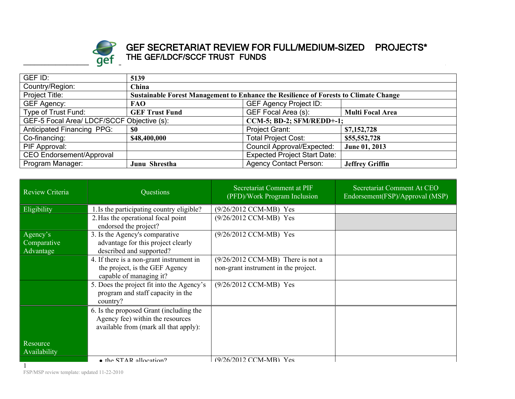

## $\mathsf{G}\mathsf{E}\mathsf{I}$  . The definition from front for  $\mathsf{C}\mathsf{I}$ **GEF SECRETARIAT REVIEW FOR FULL/MEDIUM-SIZED PROJECTS\* THE GEF/LDCF/SCCF TRUST FUNDS**

| GEF ID:                           | 5139                                                                           |                                                                                      |                         |  |
|-----------------------------------|--------------------------------------------------------------------------------|--------------------------------------------------------------------------------------|-------------------------|--|
| Country/Region:                   | China                                                                          |                                                                                      |                         |  |
| Project Title:                    |                                                                                | Sustainable Forest Management to Enhance the Resilience of Forests to Climate Change |                         |  |
| <b>GEF Agency:</b>                | <b>FAO</b>                                                                     | <b>GEF Agency Project ID:</b>                                                        |                         |  |
| Type of Trust Fund:               | <b>GEF Trust Fund</b>                                                          | GEF Focal Area (s):                                                                  | <b>Multi Focal Area</b> |  |
|                                   | GEF-5 Focal Area/ LDCF/SCCF Objective (s):<br><b>CCM-5; BD-2; SFM/REDD+-1;</b> |                                                                                      |                         |  |
| <b>Anticipated Financing PPG:</b> | \$0                                                                            | Project Grant:                                                                       | \$7,152,728             |  |
| Co-financing:                     | \$48,400,000                                                                   | <b>Total Project Cost:</b>                                                           | \$55,552,728            |  |
| PIF Approval:                     |                                                                                | <b>Council Approval/Expected:</b>                                                    | June 01, 2013           |  |
| <b>CEO Endorsement/Approval</b>   |                                                                                | <b>Expected Project Start Date:</b>                                                  |                         |  |
| Program Manager:                  | Junu Shrestha                                                                  | <b>Agency Contact Person:</b>                                                        | <b>Jeffrey Griffin</b>  |  |

| Review Criteria                      | Questions                                                                                                            | Secretariat Comment at PIF<br>(PFD)/Work Program Inclusion                          | Secretariat Comment At CEO<br>Endorsement(FSP)/Approval (MSP) |
|--------------------------------------|----------------------------------------------------------------------------------------------------------------------|-------------------------------------------------------------------------------------|---------------------------------------------------------------|
| Eligibility                          | 1. Is the participating country eligible?                                                                            | (9/26/2012 CCM-MB) Yes                                                              |                                                               |
|                                      | 2. Has the operational focal point<br>endorsed the project?                                                          | (9/26/2012 CCM-MB) Yes                                                              |                                                               |
| Agency's<br>Comparative<br>Advantage | 3. Is the Agency's comparative<br>advantage for this project clearly<br>described and supported?                     | (9/26/2012 CCM-MB) Yes                                                              |                                                               |
|                                      | 4. If there is a non-grant instrument in<br>the project, is the GEF Agency<br>capable of managing it?                | $(9/26/2012 \text{ CCM-MB})$ There is not a<br>non-grant instrument in the project. |                                                               |
|                                      | 5. Does the project fit into the Agency's<br>program and staff capacity in the<br>country?                           | (9/26/2012 CCM-MB) Yes                                                              |                                                               |
|                                      | 6. Is the proposed Grant (including the<br>Agency fee) within the resources<br>available from (mark all that apply): |                                                                                     |                                                               |
| Resource<br>Availability             |                                                                                                                      |                                                                                     |                                                               |
|                                      | $\bullet$ the STAR allocation?                                                                                       | (9/26/2012 CCM-MR) Yes                                                              |                                                               |

FSP/MSP review template: updated 11-22-2010

1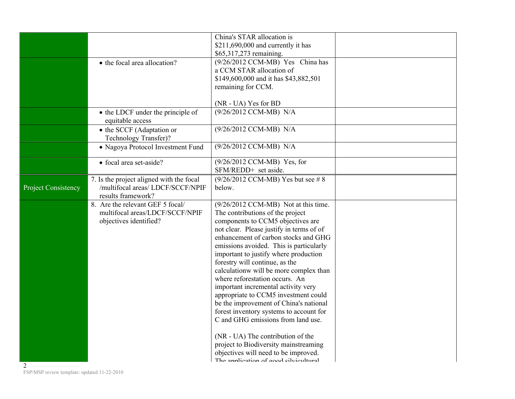|                     |                                                            | China's STAR allocation is<br>\$211,690,000 and currently it has                |  |
|---------------------|------------------------------------------------------------|---------------------------------------------------------------------------------|--|
|                     |                                                            | \$65,317,273 remaining.                                                         |  |
|                     | • the focal area allocation?                               | (9/26/2012 CCM-MB) Yes China has                                                |  |
|                     |                                                            | a CCM STAR allocation of                                                        |  |
|                     |                                                            | \$149,600,000 and it has \$43,882,501                                           |  |
|                     |                                                            | remaining for CCM.                                                              |  |
|                     |                                                            |                                                                                 |  |
|                     |                                                            | (NR - UA) Yes for BD                                                            |  |
|                     | • the LDCF under the principle of<br>equitable access      | (9/26/2012 CCM-MB) N/A                                                          |  |
|                     | • the SCCF (Adaptation or                                  | (9/26/2012 CCM-MB) N/A                                                          |  |
|                     | Technology Transfer)?<br>• Nagoya Protocol Investment Fund | (9/26/2012 CCM-MB) N/A                                                          |  |
|                     |                                                            |                                                                                 |  |
|                     | · focal area set-aside?                                    | (9/26/2012 CCM-MB) Yes, for                                                     |  |
|                     |                                                            | SFM/REDD+ set aside.                                                            |  |
|                     | 7. Is the project aligned with the focal                   | $(9/26/2012 \text{ CCM-MB})$ Yes but see #8                                     |  |
| Project Consistency | /multifocal areas/ LDCF/SCCF/NPIF                          | below.                                                                          |  |
|                     | results framework?                                         |                                                                                 |  |
|                     | 8. Are the relevant GEF 5 focal/                           | (9/26/2012 CCM-MB) Not at this time.                                            |  |
|                     | multifocal areas/LDCF/SCCF/NPIF                            | The contributions of the project                                                |  |
|                     | objectives identified?                                     | components to CCM5 objectives are                                               |  |
|                     |                                                            | not clear. Please justify in terms of of                                        |  |
|                     |                                                            | enhancement of carbon stocks and GHG<br>emissions avoided. This is particularly |  |
|                     |                                                            | important to justify where production                                           |  |
|                     |                                                            | forestry will continue, as the                                                  |  |
|                     |                                                            | calculationw will be more complex than                                          |  |
|                     |                                                            | where reforestation occurs. An                                                  |  |
|                     |                                                            | important incremental activity very                                             |  |
|                     |                                                            | appropriate to CCM5 investment could                                            |  |
|                     |                                                            | be the improvement of China's national                                          |  |
|                     |                                                            | forest inventory systems to account for                                         |  |
|                     |                                                            | C and GHG emissions from land use.                                              |  |
|                     |                                                            | (NR - UA) The contribution of the                                               |  |
|                     |                                                            | project to Biodiversity mainstreaming                                           |  |
|                     |                                                            | objectives will need to be improved.<br>The annification of good cilvicultural  |  |
| $\overline{2}$      |                                                            |                                                                                 |  |

FSP/MSP review template: updated 11-22-2010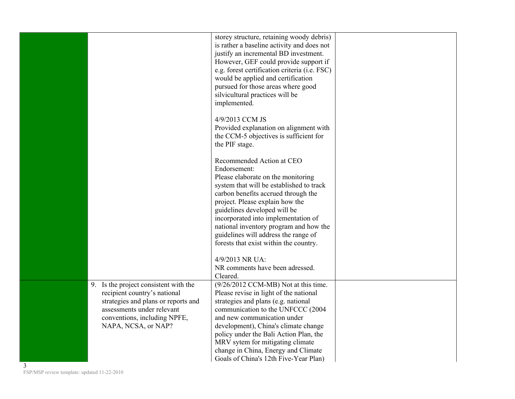|                                       | storey structure, retaining woody debris)      |
|---------------------------------------|------------------------------------------------|
|                                       | is rather a baseline activity and does not     |
|                                       | justify an incremental BD investment.          |
|                                       | However, GEF could provide support if          |
|                                       | e.g. forest certification criteria (i.e. FSC)  |
|                                       | would be applied and certification             |
|                                       | pursued for those areas where good             |
|                                       | silvicultural practices will be                |
|                                       | implemented.                                   |
|                                       |                                                |
|                                       | 4/9/2013 CCM JS                                |
|                                       |                                                |
|                                       | Provided explanation on alignment with         |
|                                       | the CCM-5 objectives is sufficient for         |
|                                       | the PIF stage.                                 |
|                                       | Recommended Action at CEO                      |
|                                       | Endorsement:                                   |
|                                       |                                                |
|                                       | Please elaborate on the monitoring             |
|                                       | system that will be established to track       |
|                                       | carbon benefits accrued through the            |
|                                       | project. Please explain how the                |
|                                       | guidelines developed will be                   |
|                                       | incorporated into implementation of            |
|                                       | national inventory program and how the         |
|                                       | guidelines will address the range of           |
|                                       | forests that exist within the country.         |
|                                       |                                                |
|                                       | 4/9/2013 NR UA:                                |
|                                       | NR comments have been adressed.                |
|                                       | Cleared.                                       |
| 9. Is the project consistent with the | $(9/26/2012 \text{ CCM-MB})$ Not at this time. |
| recipient country's national          | Please revise in light of the national         |
| strategies and plans or reports and   | strategies and plans (e.g. national            |
| assessments under relevant            | communication to the UNFCCC (2004              |
| conventions, including NPFE,          | and new communication under                    |
| NAPA, NCSA, or NAP?                   | development), China's climate change           |
|                                       | policy under the Bali Action Plan, the         |
|                                       | MRV sytem for mitigating climate               |
|                                       | change in China, Energy and Climate            |
|                                       | Goals of China's 12th Five-Year Plan)          |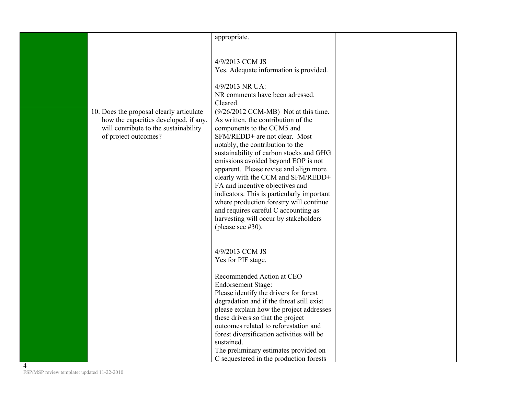|   |                                                                                   | appropriate.                                                                     |  |
|---|-----------------------------------------------------------------------------------|----------------------------------------------------------------------------------|--|
|   |                                                                                   |                                                                                  |  |
|   |                                                                                   | 4/9/2013 CCM JS                                                                  |  |
|   |                                                                                   | Yes. Adequate information is provided.                                           |  |
|   |                                                                                   | 4/9/2013 NR UA:                                                                  |  |
|   |                                                                                   | NR comments have been adressed.                                                  |  |
|   |                                                                                   | Cleared.                                                                         |  |
|   | 10. Does the proposal clearly articulate<br>how the capacities developed, if any, | (9/26/2012 CCM-MB) Not at this time.<br>As written, the contribution of the      |  |
|   | will contribute to the sustainability                                             | components to the CCM5 and                                                       |  |
|   | of project outcomes?                                                              | SFM/REDD+ are not clear. Most                                                    |  |
|   |                                                                                   | notably, the contribution to the<br>sustainability of carbon stocks and GHG      |  |
|   |                                                                                   | emissions avoided beyond EOP is not                                              |  |
|   |                                                                                   | apparent. Please revise and align more                                           |  |
|   |                                                                                   | clearly with the CCM and SFM/REDD+<br>FA and incentive objectives and            |  |
|   |                                                                                   | indicators. This is particularly important                                       |  |
|   |                                                                                   | where production forestry will continue                                          |  |
|   |                                                                                   | and requires careful C accounting as<br>harvesting will occur by stakeholders    |  |
|   |                                                                                   | (please see $#30$ ).                                                             |  |
|   |                                                                                   |                                                                                  |  |
|   |                                                                                   | 4/9/2013 CCM JS                                                                  |  |
|   |                                                                                   | Yes for PIF stage.                                                               |  |
|   |                                                                                   |                                                                                  |  |
|   |                                                                                   | Recommended Action at CEO                                                        |  |
|   |                                                                                   | <b>Endorsement Stage:</b><br>Please identify the drivers for forest              |  |
|   |                                                                                   | degradation and if the threat still exist                                        |  |
|   |                                                                                   | please explain how the project addresses                                         |  |
|   |                                                                                   | these drivers so that the project<br>outcomes related to reforestation and       |  |
|   |                                                                                   | forest diversification activities will be                                        |  |
|   |                                                                                   | sustained.                                                                       |  |
|   |                                                                                   | The preliminary estimates provided on<br>C sequestered in the production forests |  |
| 4 |                                                                                   |                                                                                  |  |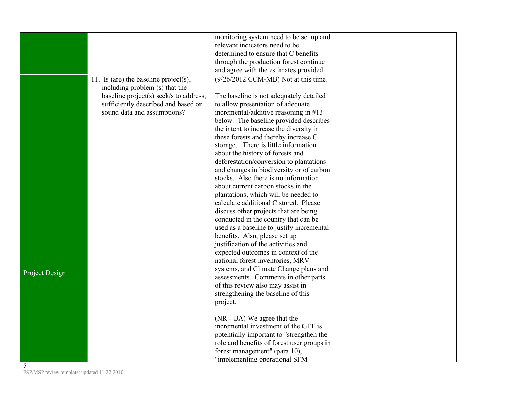|                                             |                                        | monitoring system need to be set up and                                       |  |
|---------------------------------------------|----------------------------------------|-------------------------------------------------------------------------------|--|
|                                             |                                        | relevant indicators need to be                                                |  |
|                                             |                                        | determined to ensure that C benefits                                          |  |
|                                             |                                        | through the production forest continue                                        |  |
|                                             |                                        | and agree with the estimates provided.                                        |  |
|                                             | 11. Is (are) the baseline project(s),  | (9/26/2012 CCM-MB) Not at this time.                                          |  |
|                                             | including problem (s) that the         |                                                                               |  |
|                                             | baseline project(s) seek/s to address, | The baseline is not adequately detailed                                       |  |
|                                             | sufficiently described and based on    | to allow presentation of adequate                                             |  |
|                                             | sound data and assumptions?            | incremental/additive reasoning in #13                                         |  |
|                                             |                                        | below. The baseline provided describes                                        |  |
|                                             |                                        | the intent to increase the diversity in                                       |  |
|                                             |                                        | these forests and thereby increase C                                          |  |
|                                             |                                        | storage. There is little information                                          |  |
|                                             |                                        | about the history of forests and                                              |  |
|                                             |                                        | deforestation/conversion to plantations                                       |  |
|                                             |                                        | and changes in biodiversity or of carbon                                      |  |
|                                             |                                        | stocks. Also there is no information                                          |  |
|                                             |                                        | about current carbon stocks in the                                            |  |
|                                             |                                        |                                                                               |  |
|                                             |                                        | plantations, which will be needed to<br>calculate additional C stored. Please |  |
|                                             |                                        | discuss other projects that are being                                         |  |
|                                             |                                        |                                                                               |  |
|                                             |                                        | conducted in the country that can be                                          |  |
|                                             |                                        | used as a baseline to justify incremental                                     |  |
|                                             |                                        | benefits. Also, please set up                                                 |  |
|                                             |                                        | justification of the activities and                                           |  |
|                                             |                                        | expected outcomes in context of the                                           |  |
|                                             |                                        | national forest inventories, MRV                                              |  |
| Project Design                              |                                        | systems, and Climate Change plans and                                         |  |
|                                             |                                        | assessments. Comments in other parts                                          |  |
|                                             |                                        | of this review also may assist in                                             |  |
|                                             |                                        | strengthening the baseline of this                                            |  |
|                                             |                                        | project.                                                                      |  |
|                                             |                                        |                                                                               |  |
|                                             |                                        | (NR - UA) We agree that the                                                   |  |
|                                             |                                        | incremental investment of the GEF is                                          |  |
|                                             |                                        | potentially important to "strengthen the                                      |  |
|                                             |                                        | role and benefits of forest user groups in                                    |  |
|                                             |                                        | forest management" (para 10),                                                 |  |
| 5                                           |                                        | "implementing operational SFM                                                 |  |
| FSP/MSP review template: updated 11-22-2010 |                                        |                                                                               |  |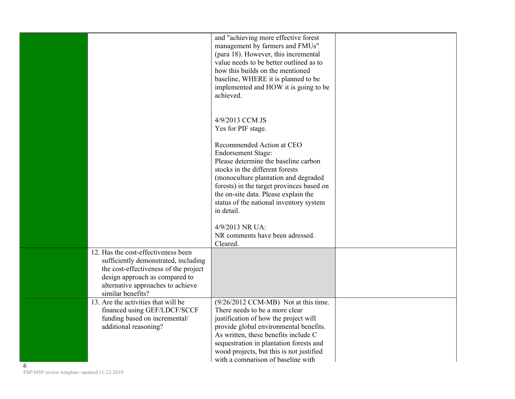|   |                                                                                                                                                                                                                  | and "achieving more effective forest<br>management by farmers and FMUs"<br>(para 18). However, this incremental<br>value needs to be better outlined as to<br>how this builds on the mentioned<br>baseline, WHERE it is planned to be<br>implemented and HOW it is going to be<br>achieved.                                                                                         |  |
|---|------------------------------------------------------------------------------------------------------------------------------------------------------------------------------------------------------------------|-------------------------------------------------------------------------------------------------------------------------------------------------------------------------------------------------------------------------------------------------------------------------------------------------------------------------------------------------------------------------------------|--|
|   |                                                                                                                                                                                                                  | 4/9/2013 CCM JS<br>Yes for PIF stage.<br>Recommended Action at CEO<br><b>Endorsement Stage:</b><br>Please determine the baseline carbon<br>stocks in the different forests<br>(monoculture plantation and degraded<br>forests) in the target provinces based on<br>the on-site data. Please explain the<br>status of the national inventory system<br>in detail.<br>4/9/2013 NR UA: |  |
|   |                                                                                                                                                                                                                  | NR comments have been adressed.<br>Cleared.                                                                                                                                                                                                                                                                                                                                         |  |
|   | 12. Has the cost-effectiveness been<br>sufficiently demonstrated, including<br>the cost-effectiveness of the project<br>design approach as compared to<br>alternative approaches to achieve<br>similar benefits? |                                                                                                                                                                                                                                                                                                                                                                                     |  |
| 6 | 13. Are the activities that will be<br>financed using GEF/LDCF/SCCF<br>funding based on incremental/<br>additional reasoning?                                                                                    | (9/26/2012 CCM-MB) Not at this time.<br>There needs to be a more clear<br>justification of how the project will<br>provide global environmental benefits.<br>As written, these benefits include C<br>sequestration in plantation forests and<br>wood projects, but this is not justified<br>with a comparison of baseline with                                                      |  |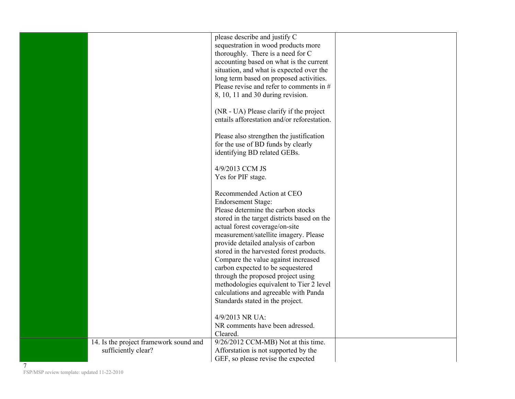|  | carbon expected to be sequestered<br>through the proposed project using<br>methodologies equivalent to Tier 2 level                         |  |
|--|---------------------------------------------------------------------------------------------------------------------------------------------|--|
|  | stored in the harvested forest products.<br>Compare the value against increased                                                             |  |
|  | actual forest coverage/on-site<br>measurement/satellite imagery. Please<br>provide detailed analysis of carbon                              |  |
|  | Recommended Action at CEO<br><b>Endorsement Stage:</b><br>Please determine the carbon stocks<br>stored in the target districts based on the |  |
|  | 4/9/2013 CCM JS<br>Yes for PIF stage.                                                                                                       |  |
|  | Please also strengthen the justification<br>for the use of BD funds by clearly<br>identifying BD related GEBs.                              |  |
|  | (NR - UA) Please clarify if the project<br>entails afforestation and/or reforestation.                                                      |  |
|  | long term based on proposed activities.<br>Please revise and refer to comments in $#$<br>8, 10, 11 and 30 during revision.                  |  |
|  | thoroughly. There is a need for C<br>accounting based on what is the current<br>situation, and what is expected over the                    |  |
|  | please describe and justify C<br>sequestration in wood products more                                                                        |  |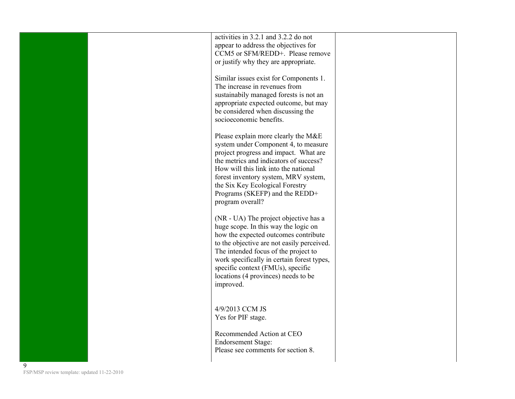|   | activities in 3.2.1 and 3.2.2 do not                                               |
|---|------------------------------------------------------------------------------------|
|   | appear to address the objectives for<br>CCM5 or SFM/REDD+. Please remove           |
|   | or justify why they are appropriate.                                               |
|   | Similar issues exist for Components 1.                                             |
|   | The increase in revenues from                                                      |
|   | sustainabily managed forests is not an                                             |
|   | appropriate expected outcome, but may<br>be considered when discussing the         |
|   | socioeconomic benefits.                                                            |
|   | Please explain more clearly the M&E                                                |
|   | system under Component 4, to measure                                               |
|   | project progress and impact. What are                                              |
|   | the metrics and indicators of success?<br>How will this link into the national     |
|   | forest inventory system, MRV system,                                               |
|   | the Six Key Ecological Forestry                                                    |
|   | Programs (SKEFP) and the REDD+<br>program overall?                                 |
|   |                                                                                    |
|   | (NR - UA) The project objective has a<br>huge scope. In this way the logic on      |
|   | how the expected outcomes contribute                                               |
|   | to the objective are not easily perceived.                                         |
|   | The intended focus of the project to<br>work specifically in certain forest types, |
|   | specific context (FMUs), specific                                                  |
|   | locations (4 provinces) needs to be                                                |
|   | improved.                                                                          |
|   |                                                                                    |
|   | 4/9/2013 CCM JS<br>Yes for PIF stage.                                              |
|   |                                                                                    |
|   | Recommended Action at CEO                                                          |
|   | <b>Endorsement Stage:</b><br>Please see comments for section 8.                    |
|   |                                                                                    |
| 9 |                                                                                    |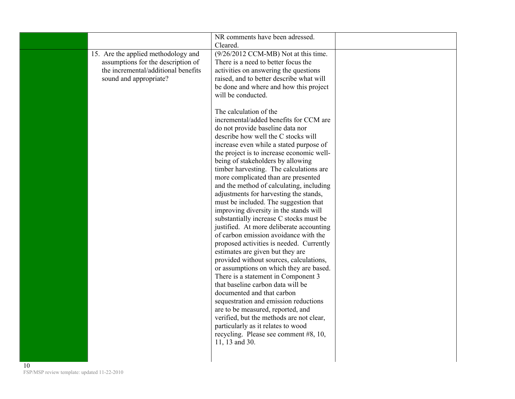|                                     | NR comments have been adressed.                                                    |  |
|-------------------------------------|------------------------------------------------------------------------------------|--|
| 15. Are the applied methodology and | Cleared.<br>(9/26/2012 CCM-MB) Not at this time.                                   |  |
| assumptions for the description of  | There is a need to better focus the                                                |  |
| the incremental/additional benefits | activities on answering the questions                                              |  |
| sound and appropriate?              | raised, and to better describe what will                                           |  |
|                                     | be done and where and how this project                                             |  |
|                                     | will be conducted.                                                                 |  |
|                                     |                                                                                    |  |
|                                     | The calculation of the                                                             |  |
|                                     | incremental/added benefits for CCM are                                             |  |
|                                     | do not provide baseline data nor                                                   |  |
|                                     | describe how well the C stocks will                                                |  |
|                                     | increase even while a stated purpose of                                            |  |
|                                     | the project is to increase economic well-                                          |  |
|                                     | being of stakeholders by allowing                                                  |  |
|                                     | timber harvesting. The calculations are                                            |  |
|                                     | more complicated than are presented                                                |  |
|                                     | and the method of calculating, including<br>adjustments for harvesting the stands, |  |
|                                     | must be included. The suggestion that                                              |  |
|                                     | improving diversity in the stands will                                             |  |
|                                     | substantially increase C stocks must be                                            |  |
|                                     | justified. At more deliberate accounting                                           |  |
|                                     | of carbon emission avoidance with the                                              |  |
|                                     | proposed activities is needed. Currently                                           |  |
|                                     | estimates are given but they are                                                   |  |
|                                     | provided without sources, calculations,                                            |  |
|                                     | or assumptions on which they are based.                                            |  |
|                                     | There is a statement in Component 3                                                |  |
|                                     | that baseline carbon data will be                                                  |  |
|                                     | documented and that carbon                                                         |  |
|                                     | sequestration and emission reductions                                              |  |
|                                     | are to be measured, reported, and                                                  |  |
|                                     | verified, but the methods are not clear,<br>particularly as it relates to wood     |  |
|                                     | recycling. Please see comment #8, 10,                                              |  |
|                                     | 11, 13 and 30.                                                                     |  |
|                                     |                                                                                    |  |
|                                     |                                                                                    |  |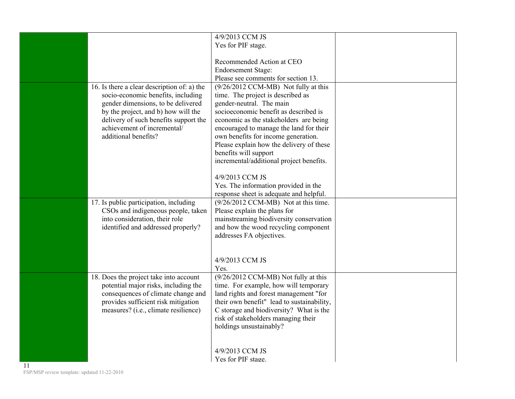|                                                                                                                                                                                                                                                                | 4/9/2013 CCM JS<br>Yes for PIF stage.                                                                                                                                                                                                                                                                                                                                                       |  |
|----------------------------------------------------------------------------------------------------------------------------------------------------------------------------------------------------------------------------------------------------------------|---------------------------------------------------------------------------------------------------------------------------------------------------------------------------------------------------------------------------------------------------------------------------------------------------------------------------------------------------------------------------------------------|--|
|                                                                                                                                                                                                                                                                | Recommended Action at CEO<br><b>Endorsement Stage:</b><br>Please see comments for section 13.                                                                                                                                                                                                                                                                                               |  |
| 16. Is there a clear description of: a) the<br>socio-economic benefits, including<br>gender dimensions, to be delivered<br>by the project, and b) how will the<br>delivery of such benefits support the<br>achievement of incremental/<br>additional benefits? | (9/26/2012 CCM-MB) Not fully at this<br>time. The project is described as<br>gender-neutral. The main<br>socioeconomic benefit as described is<br>economic as the stakeholders are being<br>encouraged to manage the land for their<br>own benefits for income generation.<br>Please explain how the delivery of these<br>benefits will support<br>incremental/additional project benefits. |  |
|                                                                                                                                                                                                                                                                | 4/9/2013 CCM JS<br>Yes. The information provided in the<br>response sheet is adequate and helpful.                                                                                                                                                                                                                                                                                          |  |
| 17. Is public participation, including<br>CSOs and indigeneous people, taken<br>into consideration, their role<br>identified and addressed properly?                                                                                                           | (9/26/2012 CCM-MB) Not at this time.<br>Please explain the plans for<br>mainstreaming biodiversity conservation<br>and how the wood recycling component<br>addresses FA objectives.                                                                                                                                                                                                         |  |
|                                                                                                                                                                                                                                                                | 4/9/2013 CCM JS<br>Yes.                                                                                                                                                                                                                                                                                                                                                                     |  |
| 18. Does the project take into account<br>potential major risks, including the<br>consequences of climate change and<br>provides sufficient risk mitigation<br>measures? (i.e., climate resilience)                                                            | (9/26/2012 CCM-MB) Not fully at this<br>time. For example, how will temporary<br>land rights and forest management "for<br>their own benefit" lead to sustainability,<br>C storage and biodiversity? What is the<br>risk of stakeholders managing their<br>holdings unsustainably?                                                                                                          |  |
|                                                                                                                                                                                                                                                                | 4/9/2013 CCM JS<br>Yes for PIF stage.                                                                                                                                                                                                                                                                                                                                                       |  |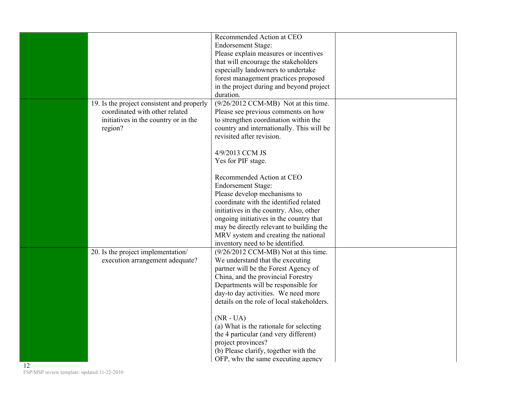|                                                                                                                                 | Recommended Action at CEO<br><b>Endorsement Stage:</b><br>Please explain measures or incentives<br>that will encourage the stakeholders<br>especially landowners to undertake<br>forest management practices proposed<br>in the project during and beyond project<br>duration.                                                                                                                                                                                                                                                                        |  |
|---------------------------------------------------------------------------------------------------------------------------------|-------------------------------------------------------------------------------------------------------------------------------------------------------------------------------------------------------------------------------------------------------------------------------------------------------------------------------------------------------------------------------------------------------------------------------------------------------------------------------------------------------------------------------------------------------|--|
| 19. Is the project consistent and properly<br>coordinated with other related<br>initiatives in the country or in the<br>region? | (9/26/2012 CCM-MB) Not at this time.<br>Please see previous comments on how<br>to strengthen coordination within the<br>country and internationally. This will be<br>revisited after revision.<br>4/9/2013 CCM JS<br>Yes for PIF stage.<br>Recommended Action at CEO<br><b>Endorsement Stage:</b><br>Please develop mechanisms to<br>coordinate with the identified related<br>initiatives in the country. Also, other<br>ongoing initiatives in the country that<br>may be directly relevant to building the<br>MRV system and creating the national |  |
| 20. Is the project implementation/<br>execution arrangement adequate?                                                           | inventory need to be identified.<br>$(9/26/2012 \text{ CCM-MB})$ Not at this time.<br>We understand that the executing<br>partner will be the Forest Agency of<br>China, and the provincial Forestry<br>Departments will be responsible for<br>day-to day activities. We need more<br>details on the role of local stakeholders.<br>$(NR - UA)$<br>(a) What is the rationale for selecting<br>the 4 particular (and very different)<br>project provinces?<br>(b) Please clarify, together with the<br>OFP, why the same executing agency              |  |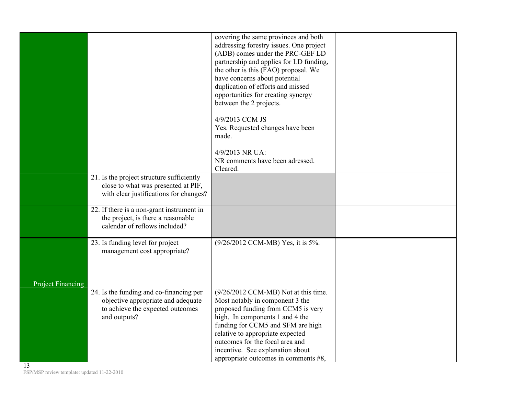|                          |                                                                                 | covering the same provinces and both    |  |
|--------------------------|---------------------------------------------------------------------------------|-----------------------------------------|--|
|                          |                                                                                 | addressing forestry issues. One project |  |
|                          |                                                                                 | (ADB) comes under the PRC-GEF LD        |  |
|                          |                                                                                 | partnership and applies for LD funding, |  |
|                          |                                                                                 | the other is this (FAO) proposal. We    |  |
|                          |                                                                                 | have concerns about potential           |  |
|                          |                                                                                 | duplication of efforts and missed       |  |
|                          |                                                                                 | opportunities for creating synergy      |  |
|                          |                                                                                 | between the 2 projects.                 |  |
|                          |                                                                                 |                                         |  |
|                          |                                                                                 | 4/9/2013 CCM JS                         |  |
|                          |                                                                                 | Yes. Requested changes have been        |  |
|                          |                                                                                 | made.                                   |  |
|                          |                                                                                 |                                         |  |
|                          |                                                                                 | 4/9/2013 NR UA:                         |  |
|                          |                                                                                 | NR comments have been adressed.         |  |
|                          |                                                                                 | Cleared.                                |  |
|                          | 21. Is the project structure sufficiently                                       |                                         |  |
|                          | close to what was presented at PIF,                                             |                                         |  |
|                          | with clear justifications for changes?                                          |                                         |  |
|                          |                                                                                 |                                         |  |
|                          | 22. If there is a non-grant instrument in<br>the project, is there a reasonable |                                         |  |
|                          | calendar of reflows included?                                                   |                                         |  |
|                          |                                                                                 |                                         |  |
|                          | 23. Is funding level for project                                                | (9/26/2012 CCM-MB) Yes, it is 5%.       |  |
|                          | management cost appropriate?                                                    |                                         |  |
|                          |                                                                                 |                                         |  |
|                          |                                                                                 |                                         |  |
|                          |                                                                                 |                                         |  |
| <b>Project Financing</b> |                                                                                 |                                         |  |
|                          | 24. Is the funding and co-financing per                                         | (9/26/2012 CCM-MB) Not at this time.    |  |
|                          | objective appropriate and adequate                                              | Most notably in component 3 the         |  |
|                          | to achieve the expected outcomes                                                | proposed funding from CCM5 is very      |  |
|                          | and outputs?                                                                    | high. In components 1 and 4 the         |  |
|                          |                                                                                 | funding for CCM5 and SFM are high       |  |
|                          |                                                                                 | relative to appropriate expected        |  |
|                          |                                                                                 | outcomes for the focal area and         |  |
|                          |                                                                                 | incentive. See explanation about        |  |
|                          |                                                                                 | appropriate outcomes in comments $#8$ , |  |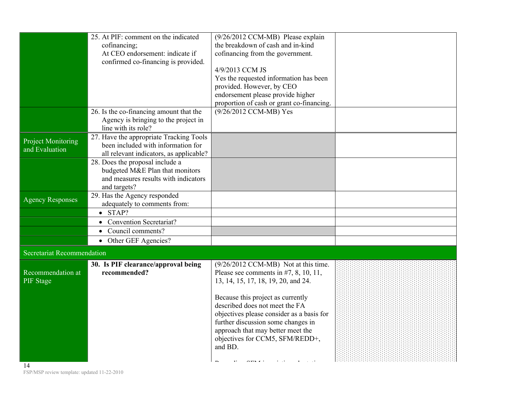|                                   | 25. At PIF: comment on the indicated                                       | (9/26/2012 CCM-MB) Please explain                                           |  |
|-----------------------------------|----------------------------------------------------------------------------|-----------------------------------------------------------------------------|--|
|                                   | cofinancing;                                                               | the breakdown of cash and in-kind                                           |  |
|                                   | At CEO endorsement: indicate if                                            | cofinancing from the government.                                            |  |
|                                   | confirmed co-financing is provided.                                        | 4/9/2013 CCM JS                                                             |  |
|                                   |                                                                            | Yes the requested information has been                                      |  |
|                                   |                                                                            | provided. However, by CEO                                                   |  |
|                                   |                                                                            | endorsement please provide higher                                           |  |
|                                   |                                                                            | proportion of cash or grant co-financing.                                   |  |
|                                   | 26. Is the co-financing amount that the                                    | (9/26/2012 CCM-MB) Yes                                                      |  |
|                                   | Agency is bringing to the project in                                       |                                                                             |  |
|                                   | line with its role?                                                        |                                                                             |  |
| <b>Project Monitoring</b>         | 27. Have the appropriate Tracking Tools                                    |                                                                             |  |
| and Evaluation                    | been included with information for                                         |                                                                             |  |
|                                   | all relevant indicators, as applicable?<br>28. Does the proposal include a |                                                                             |  |
|                                   | budgeted M&E Plan that monitors                                            |                                                                             |  |
|                                   | and measures results with indicators                                       |                                                                             |  |
|                                   | and targets?                                                               |                                                                             |  |
| <b>Agency Responses</b>           | 29. Has the Agency responded                                               |                                                                             |  |
|                                   | adequately to comments from:                                               |                                                                             |  |
|                                   | $\bullet$ STAP?                                                            |                                                                             |  |
|                                   | <b>Convention Secretariat?</b>                                             |                                                                             |  |
|                                   | Council comments?<br>$\bullet$                                             |                                                                             |  |
|                                   | • Other GEF Agencies?                                                      |                                                                             |  |
| <b>Secretariat Recommendation</b> |                                                                            |                                                                             |  |
|                                   | 30. Is PIF clearance/approval being                                        | (9/26/2012 CCM-MB) Not at this time.                                        |  |
| Recommendation at                 | recommended?                                                               | Please see comments in $#7$ , 8, 10, 11,                                    |  |
| PIF Stage                         |                                                                            | 13, 14, 15, 17, 18, 19, 20, and 24.                                         |  |
|                                   |                                                                            |                                                                             |  |
|                                   |                                                                            | Because this project as currently                                           |  |
|                                   |                                                                            | described does not meet the FA<br>objectives please consider as a basis for |  |
|                                   |                                                                            | further discussion some changes in                                          |  |
|                                   |                                                                            | approach that may better meet the                                           |  |
|                                   |                                                                            | objectives for CCM5, SFM/REDD+,                                             |  |
|                                   |                                                                            | and BD.                                                                     |  |
|                                   |                                                                            |                                                                             |  |
| 14                                |                                                                            |                                                                             |  |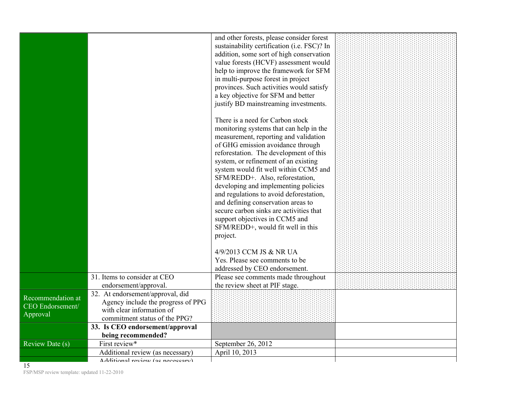|                                                          |                                                                                                                                      | and other forests, please consider forest<br>sustainability certification (i.e. FSC)? In<br>addition, some sort of high conservation<br>value forests (HCVF) assessment would<br>help to improve the framework for SFM<br>in multi-purpose forest in project<br>provinces. Such activities would satisfy<br>a key objective for SFM and better<br>justify BD mainstreaming investments.                                                                                                                                                                                        |  |
|----------------------------------------------------------|--------------------------------------------------------------------------------------------------------------------------------------|--------------------------------------------------------------------------------------------------------------------------------------------------------------------------------------------------------------------------------------------------------------------------------------------------------------------------------------------------------------------------------------------------------------------------------------------------------------------------------------------------------------------------------------------------------------------------------|--|
|                                                          |                                                                                                                                      | There is a need for Carbon stock<br>monitoring systems that can help in the<br>measurement, reporting and validation<br>of GHG emission avoidance through<br>reforestation. The development of this<br>system, or refinement of an existing<br>system would fit well within CCM5 and<br>SFM/REDD+. Also, reforestation,<br>developing and implementing policies<br>and regulations to avoid deforestation,<br>and defining conservation areas to<br>secure carbon sinks are activities that<br>support objectives in CCM5 and<br>SFM/REDD+, would fit well in this<br>project. |  |
|                                                          |                                                                                                                                      | 4/9/2013 CCM JS & NR UA<br>Yes. Please see comments to be<br>addressed by CEO endorsement.                                                                                                                                                                                                                                                                                                                                                                                                                                                                                     |  |
|                                                          | 31. Items to consider at CEO<br>endorsement/approval.                                                                                | Please see comments made throughout<br>the review sheet at PIF stage.                                                                                                                                                                                                                                                                                                                                                                                                                                                                                                          |  |
| Recommendation at<br><b>CEO</b> Endorsement/<br>Approval | 32. At endorsement/approval, did<br>Agency include the progress of PPG<br>with clear information of<br>commitment status of the PPG? |                                                                                                                                                                                                                                                                                                                                                                                                                                                                                                                                                                                |  |
|                                                          | 33. Is CEO endorsement/approval                                                                                                      |                                                                                                                                                                                                                                                                                                                                                                                                                                                                                                                                                                                |  |
| Review Date (s)                                          | being recommended?<br>First review*                                                                                                  | September 26, 2012                                                                                                                                                                                                                                                                                                                                                                                                                                                                                                                                                             |  |
|                                                          | Additional review (as necessary)                                                                                                     | April 10, 2013                                                                                                                                                                                                                                                                                                                                                                                                                                                                                                                                                                 |  |
|                                                          | Additional review (as necessary)                                                                                                     |                                                                                                                                                                                                                                                                                                                                                                                                                                                                                                                                                                                |  |